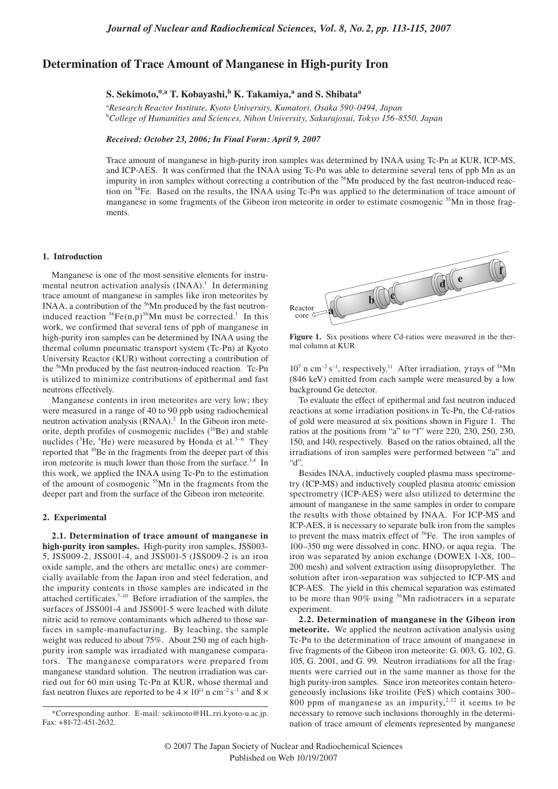# **Determination of Trace Amount of Manganese in High-purity Iron**

# $S.$  Sekimoto,<sup>\*,a</sup> T. Kobayashi,<sup>b</sup> K. Takamiya,<sup>a</sup> and S. Shibata<sup>a</sup>

a *Research Reactor Institute, Kyoto University, Kumatori, Osaka 590-0494, Japan*  b *College of Humanities and Sciences, Nihon University, Sakurajosui, Tokyo 156-8550, Japan* 

#### *Received: October 23, 2006; In Final Form: April 9, 2007*

Trace amount of manganese in high-purity iron samples was determined by INAA using Tc-Pn at KUR, ICP-MS, and ICP-AES. It was confirmed that the INAA using Tc-Pn was able to determine several tens of ppb Mn as an impurity in iron samples without correcting a contribution of the <sup>56</sup>Mn produced by the fast neutron-induced reaction on <sup>56</sup>Fe. Based on the results, the INAA using Tc-Pn was applied to the determination of trace amount of manganese in some fragments of the Gibeon iron meteorite in order to estimate cosmogenic <sup>55</sup>Mn in those fragments.

#### **1. Introduction**

Manganese is one of the most sensitive elements for instrumental neutron activation analysis  $(INAA)$ .<sup>1</sup> In determining trace amount of manganese in samples like iron meteorites by INAA, a contribution of the <sup>56</sup>Mn produced by the fast neutroninduced reaction  ${}^{56}Fe(n,p) {}^{56}Mn$  must be corrected.<sup>1</sup> In this work, we confirmed that several tens of ppb of manganese in high-purity iron samples can be determined by INAA using the thermal column pneumatic transport system (Tc-Pn) at Kyoto University Reactor (KUR) without correcting a contribution of the <sup>56</sup>Mn produced by the fast neutron-induced reaction. Tc-Pn is utilized to minimize contributions of epithermal and fast neutrons effectively.

Manganese contents in iron meteorites are very low; they were measured in a range of 40 to 90 ppb using radiochemical neutron activation analysis  $(RNAA)<sup>2</sup>$  In the Gibeon iron meteorite, depth profiles of cosmogenic nuclides  $(^{10}Be)$  and stable nuclides ( ${}^{3}$ He,  ${}^{4}$ He) were measured by Honda et al. ${}^{3-6}$  They reported that 10Be in the fragments from the deeper part of this iron meteorite is much lower than those from the surface.<sup>3,4</sup> In this work, we applied the INAA using Tc-Pn to the estimation of the amount of cosmogenic <sup>55</sup>Mn in the fragments from the deeper part and from the surface of the Gibeon iron meteorite.

### **2. Experimental**

**2.1. Determination of trace amount of manganese in high-purity iron samples.** High-purity iron samples, JSS003- 5, JSS009-2, JSS001-4, and JSS001-5 (JSS009-2 is an iron oxide sample, and the others are metallic ones) are commercially available from the Japan iron and steel federation, and the impurity contents in those samples are indicated in the attached certificates.<sup>7-10</sup> Before irradiation of the samples, the surfaces of JSS001-4 and JSS001-5 were leached with dilute nitric acid to remove contaminants which adhered to those surfaces in sample-manufacturing. By leaching, the sample weight was reduced to about 75%. About 250 mg of each highpurity iron sample was irradiated with manganese comparators. The manganese comparators were prepared from manganese standard solution. The neutron irradiation was carried out for 60 min using Tc-Pn at KUR, whose thermal and fast neutron fluxes are reported to be  $4 \times 10^{11}$  n cm<sup>-2</sup> s<sup>-1</sup> and 8  $\times$ 



**Figure 1.** Six positions where Cd-ratios were measured in the thermal column at KUR.

 $10^7$  n cm<sup>-2</sup> s<sup>-1</sup>, respectively.<sup>11</sup> After irradiation,  $\gamma$  rays of <sup>56</sup>Mn (846 keV) emitted from each sample were measured by a low background Ge detector.

To evaluate the effect of epithermal and fast neutron induced reactions at some irradiation positions in Tc-Pn, the Cd-ratios of gold were measured at six positions shown in Figure 1. The ratios at the positions from "a" to "f" were 220, 230, 250, 230, 150, and 140, respectively. Based on the ratios obtained, all the irradiations of iron samples were performed between "a" and  $``d"$ 

Besides INAA, inductively coupled plasma mass spectrometry (ICP-MS) and inductively coupled plasma atomic emission spectrometry (ICP-AES) were also utilized to determine the amount of manganese in the same samples in order to compare the results with those obtained by INAA. For ICP-MS and ICP-AES, it is necessary to separate bulk iron from the samples to prevent the mass matrix effect of <sup>56</sup>Fe. The iron samples of  $100-350$  mg were dissolved in conc.  $HNO<sub>3</sub>$  or aqua regia. The iron was separated by anion exchange (DOWEX 1-X8, 100– 200 mesh) and solvent extraction using diisopropylether. The solution after iron-separation was subjected to ICP-MS and ICP-AES. The yield in this chemical separation was estimated to be more than 90% using <sup>56</sup>Mn radiotracers in a separate experiment.

**2.2. Determination of manganese in the Gibeon iron meteorite.** We applied the neutron activation analysis using Tc-Pn to the determination of trace amount of manganese in five fragments of the Gibeon iron meteorite: G. 003, G. 102, G. 105, G. 2001, and G. 99. Neutron irradiations for all the fragments were carried out in the same manner as those for the high purity-iron samples. Since iron meteorites contain heterogeneously inclusions like troilite (FeS) which contains 300– 800 ppm of manganese as an impurity,<sup>2,12</sup> it seems to be necessary to remove such inclusions thoroughly in the determination of trace amount of elements represented by manganese

<sup>\*</sup>Corresponding author. E-mail: sekimoto@HL.rri.kyoto-u.ac.jp. Fax: +81-72-451-2632.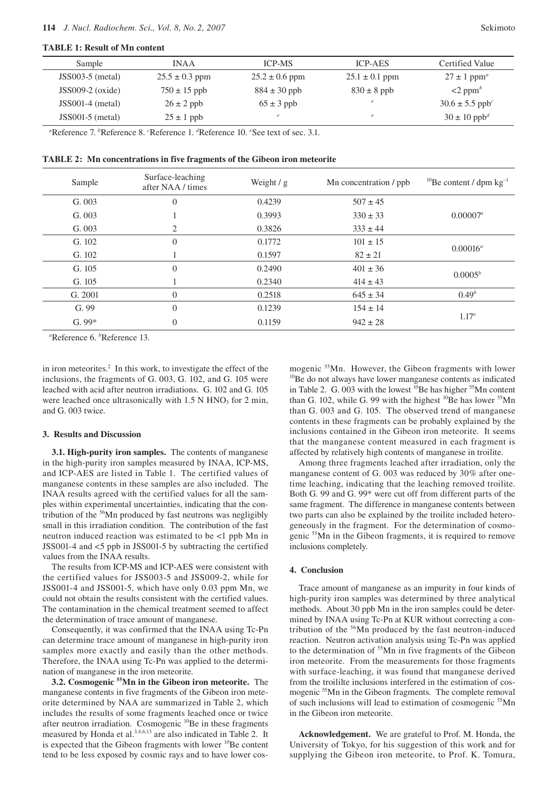## **TABLE 1: Result of Mn content**

| Sample             | INA A              | <b>ICP-MS</b>      | <b>ICP-AES</b>     | Certified Value                 |
|--------------------|--------------------|--------------------|--------------------|---------------------------------|
| $JSS003-5$ (metal) | $25.5 \pm 0.3$ ppm | $25.2 \pm 0.6$ ppm | $25.1 \pm 0.1$ ppm | $27 \pm 1$ ppm <sup>a</sup>     |
| $JSS009-2$ (oxide) | $750 \pm 15$ ppb   | $884 \pm 30$ ppb   | $830 \pm 8$ ppb    | $\leq$ 2 ppm <sup>b</sup>       |
| $JSS001-4$ (metal) | $26 \pm 2$ ppb     | $65 \pm 3$ ppb     | e                  | $30.6 \pm 5.5$ ppb <sup>c</sup> |
| $JSS001-5$ (metal) | $25 \pm 1$ ppb     |                    | e                  | $30 \pm 10$ ppb <sup>d</sup>    |

<sup>a</sup>Reference 7. <sup>*b*</sup>Reference 8. <sup>*c*</sup>Reference 1. <sup>*d*</sup>Reference 10. *<sup><i>c*</sup>See text of sec. 3.1.

|  | TABLE 2: Mn concentrations in five fragments of the Gibeon iron meteorite |
|--|---------------------------------------------------------------------------|
|--|---------------------------------------------------------------------------|

| Sample  | Surface-leaching<br>after NAA / times | Weight $/g$ | Mn concentration / ppb | <sup>10</sup> Be content / dpm $kg^{-1}$ |
|---------|---------------------------------------|-------------|------------------------|------------------------------------------|
| G. 003  | $\Omega$                              | 0.4239      | $507 \pm 45$           |                                          |
| G. 003  |                                       | 0.3993      | $330 \pm 33$           | $0.00007^a$                              |
| G. 003  | 2                                     | 0.3826      | $333 \pm 44$           |                                          |
| G. 102  | $\Omega$                              | 0.1772      | $101 \pm 15$           | $0.00016^a$                              |
| G. 102  |                                       | 0.1597      | $82 \pm 21$            |                                          |
| G. 105  | $\Omega$                              | 0.2490      | $401 \pm 36$           | $0.0005^b$                               |
| G. 105  |                                       | 0.2340      | $414 \pm 43$           |                                          |
| G. 2001 | $\Omega$                              | 0.2518      | $645 \pm 34$           | $0.49^{b}$                               |
| G.99    | $\Omega$                              | 0.1239      | $154 \pm 14$           | $1.17^a$                                 |
| $G.99*$ | $\Omega$                              | 0.1159      | $942 \pm 28$           |                                          |

*a* Reference 6. *<sup>b</sup>* Reference 13.

in iron meteorites.<sup>2</sup> In this work, to investigate the effect of the inclusions, the fragments of G. 003, G. 102, and G. 105 were leached with acid after neutron irradiations. G. 102 and G. 105 were leached once ultrasonically with  $1.5$  N HNO<sub>3</sub> for 2 min, and G. 003 twice.

### **3. Results and Discussion**

**3.1. High-purity iron samples.** The contents of manganese in the high-purity iron samples measured by INAA, ICP-MS, and ICP-AES are listed in Table 1. The certified values of manganese contents in these samples are also included. The INAA results agreed with the certified values for all the samples within experimental uncertainties, indicating that the contribution of the 56Mn produced by fast neutrons was negligibly small in this irradiation condition. The contribution of the fast neutron induced reaction was estimated to be <1 ppb Mn in JSS001-4 and <5 ppb in JSS001-5 by subtracting the certified values from the INAA results.

The results from ICP-MS and ICP-AES were consistent with the certified values for JSS003-5 and JSS009-2, while for JSS001-4 and JSS001-5, which have only 0.03 ppm Mn, we could not obtain the results consistent with the certified values. The contamination in the chemical treatment seemed to affect the determination of trace amount of manganese.

Consequently, it was confirmed that the INAA using Tc-Pn can determine trace amount of manganese in high-purity iron samples more exactly and easily than the other methods. Therefore, the INAA using Tc-Pn was applied to the determination of manganese in the iron meteorite.

**3.2. Cosmogenic 55Mn in the Gibeon iron meteorite.** The manganese contents in five fragments of the Gibeon iron meteorite determined by NAA are summarized in Table 2, which includes the results of some fragments leached once or twice after neutron irradiation. Cosmogenic <sup>10</sup>Be in these fragments measured by Honda et al.<sup>3,4,6,13</sup> are also indicated in Table 2. It is expected that the Gibeon fragments with lower  $^{10}$ Be content tend to be less exposed by cosmic rays and to have lower cos-

mogenic  $55$ Mn. However, the Gibeon fragments with lower <sup>10</sup>Be do not always have lower manganese contents as indicated in Table 2. G. 003 with the lowest <sup>10</sup>Be has higher <sup>55</sup>Mn content than G. 102, while G. 99 with the highest  $^{10}$ Be has lower  $^{55}$ Mn than G. 003 and G. 105. The observed trend of manganese contents in these fragments can be probably explained by the inclusions contained in the Gibeon iron meteorite. It seems that the manganese content measured in each fragment is affected by relatively high contents of manganese in troilite.

Among three fragments leached after irradiation, only the manganese content of G. 003 was reduced by 30% after onetime leaching, indicating that the leaching removed troilite. Both G. 99 and G. 99\* were cut off from different parts of the same fragment. The difference in manganese contents between two parts can also be explained by the troilite included heterogeneously in the fragment. For the determination of cosmogenic 55Mn in the Gibeon fragments, it is required to remove inclusions completely.

### **4. Conclusion**

Trace amount of manganese as an impurity in four kinds of high-purity iron samples was determined by three analytical methods. About 30 ppb Mn in the iron samples could be determined by INAA using Tc-Pn at KUR without correcting a contribution of the 56Mn produced by the fast neutron-induced reaction. Neutron activation analysis using Tc-Pn was applied to the determination of <sup>55</sup>Mn in five fragments of the Gibeon iron meteorite. From the measurements for those fragments with surface-leaching, it was found that manganese derived from the troililte inclusions interfered in the estimation of cosmogenic 55Mn in the Gibeon fragments. The complete removal of such inclusions will lead to estimation of cosmogenic <sup>55</sup>Mn in the Gibeon iron meteorite.

**Acknowledgement.** We are grateful to Prof. M. Honda, the University of Tokyo, for his suggestion of this work and for supplying the Gibeon iron meteorite, to Prof. K. Tomura,